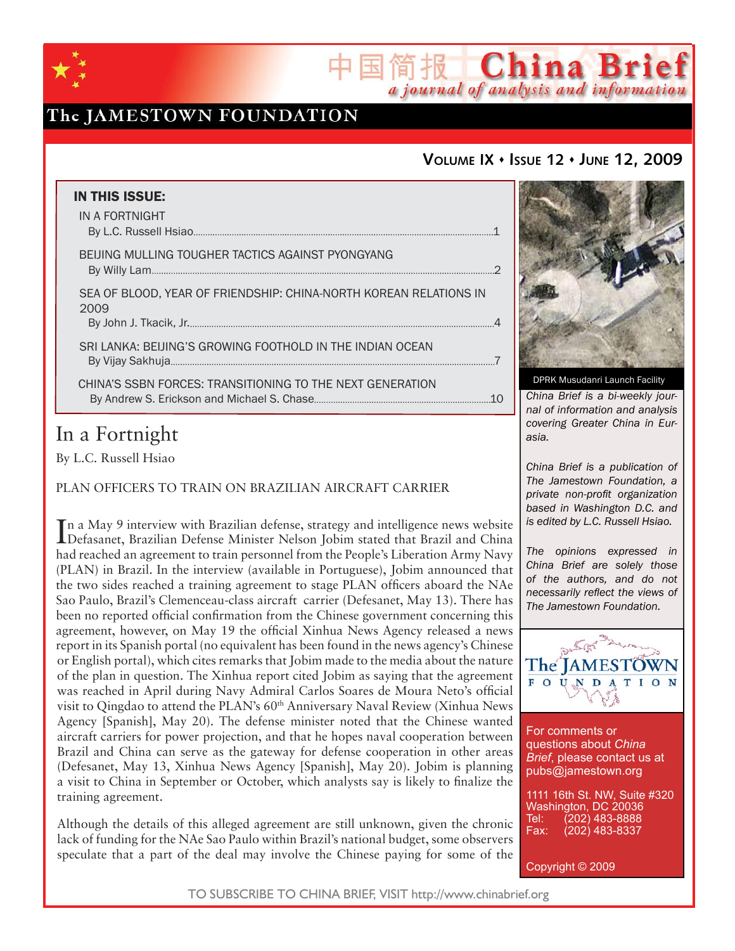

## The JAMESTOWN FOUNDATION

## **VOLUME IX ISSUE 12 JUNE 12, 2009**

国简报 China Brief

a journal of analysis and information

| <b>IN THIS ISSUE:</b>                                                     |     |
|---------------------------------------------------------------------------|-----|
| IN A FORTNIGHT                                                            |     |
| BEIJING MULLING TOUGHER TACTICS AGAINST PYONGYANG                         | 2   |
| SEA OF BLOOD, YEAR OF FRIENDSHIP: CHINA-NORTH KOREAN RELATIONS IN<br>2009 |     |
| SRI LANKA: BEIJING'S GROWING FOOTHOLD IN THE INDIAN OCEAN                 |     |
| CHINA'S SSBN FORCES: TRANSITIONING TO THE NEXT GENERATION                 | -10 |

# In a Fortnight

By L.C. Russell Hsiao

PLAN OFFICERS TO TRAIN ON BRAZILIAN AIRCRAFT CARRIER

In a May 9 interview with Brazilian defense, strategy and intelligence news website<br>Defasanet, Brazilian Defense Minister Nelson Jobim stated that Brazil and China Defasanet, Brazilian Defense Minister Nelson Jobim stated that Brazil and China had reached an agreement to train personnel from the People's Liberation Army Navy (PLAN) in Brazil. In the interview (available in Portuguese), Jobim announced that the two sides reached a training agreement to stage PLAN officers aboard the NAe Sao Paulo, Brazil's Clemenceau-class aircraft carrier (Defesanet, May 13). There has been no reported official confirmation from the Chinese government concerning this agreement, however, on May 19 the official Xinhua News Agency released a news report in its Spanish portal (no equivalent has been found in the news agency's Chinese or English portal), which cites remarks that Jobim made to the media about the nature of the plan in question. The Xinhua report cited Jobim as saying that the agreement was reached in April during Navy Admiral Carlos Soares de Moura Neto's official visit to Qingdao to attend the PLAN's 60<sup>th</sup> Anniversary Naval Review (Xinhua News Agency [Spanish], May 20). The defense minister noted that the Chinese wanted aircraft carriers for power projection, and that he hopes naval cooperation between Brazil and China can serve as the gateway for defense cooperation in other areas (Defesanet, May 13, Xinhua News Agency [Spanish], May 20). Jobim is planning a visit to China in September or October, which analysts say is likely to finalize the training agreement.

Although the details of this alleged agreement are still unknown, given the chronic lack of funding for the NAe Sao Paulo within Brazil's national budget, some observers speculate that a part of the deal may involve the Chinese paying for some of the



*China Brief is a bi-weekly journal of information and analysis covering Greater China in Eurasia.* 

*China Brief is a publication of The Jamestown Foundation, a private non-profit organization based in Washington D.C. and is edited by L.C. Russell Hsiao.*

*The opinions expressed in China Brief are solely those of the authors, and do not necessarily reflect the views of The Jamestown Foundation.*



For comments or questions about *China Brief*, please contact us at pubs@jamestown.org

1111 16th St. NW, Suite #320 Washington, DC 20036 Tel: (202) 483-8888<br>Fax: (202) 483-8337 Fax: (202) 483-8337

Copyright © 2009

TO SUBSCRIBE TO CHINA BRIEF, VISIT http://www.chinabrief.org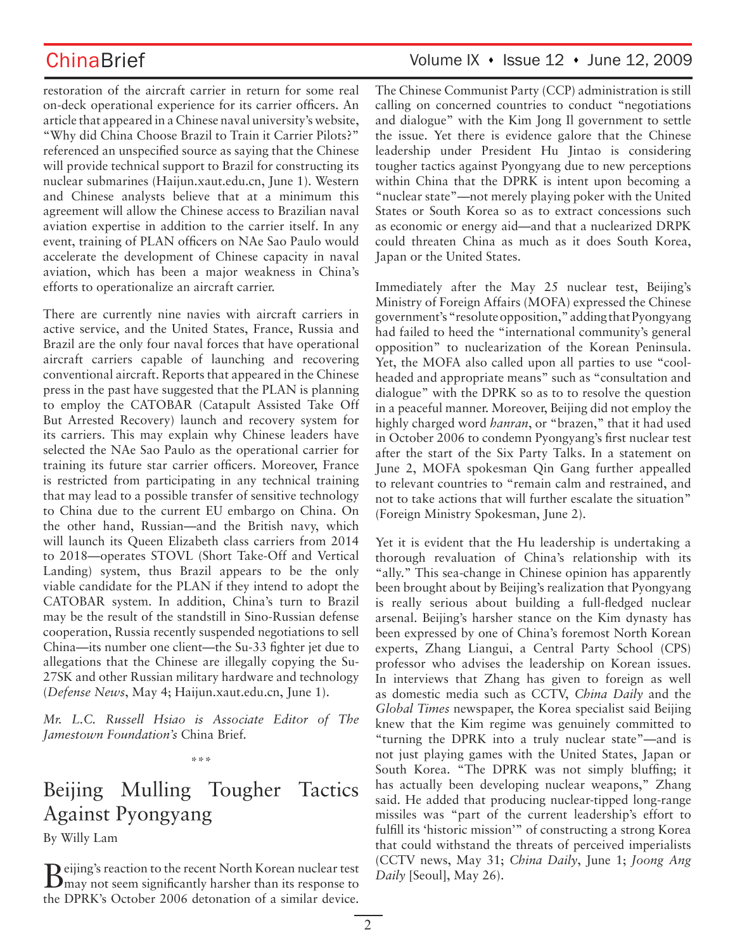restoration of the aircraft carrier in return for some real on-deck operational experience for its carrier officers. An article that appeared in a Chinese naval university's website, "Why did China Choose Brazil to Train it Carrier Pilots?" referenced an unspecified source as saying that the Chinese will provide technical support to Brazil for constructing its nuclear submarines (Haijun.xaut.edu.cn, June 1). Western and Chinese analysts believe that at a minimum this agreement will allow the Chinese access to Brazilian naval aviation expertise in addition to the carrier itself. In any event, training of PLAN officers on NAe Sao Paulo would accelerate the development of Chinese capacity in naval aviation, which has been a major weakness in China's efforts to operationalize an aircraft carrier.

There are currently nine navies with aircraft carriers in active service, and the United States, France, Russia and Brazil are the only four naval forces that have operational aircraft carriers capable of launching and recovering conventional aircraft. Reports that appeared in the Chinese press in the past have suggested that the PLAN is planning to employ the CATOBAR (Catapult Assisted Take Off But Arrested Recovery) launch and recovery system for its carriers. This may explain why Chinese leaders have selected the NAe Sao Paulo as the operational carrier for training its future star carrier officers. Moreover, France is restricted from participating in any technical training that may lead to a possible transfer of sensitive technology to China due to the current EU embargo on China. On the other hand, Russian—and the British navy, which will launch its Queen Elizabeth class carriers from 2014 to 2018—operates STOVL (Short Take-Off and Vertical Landing) system, thus Brazil appears to be the only viable candidate for the PLAN if they intend to adopt the CATOBAR system. In addition, China's turn to Brazil may be the result of the standstill in Sino-Russian defense cooperation, Russia recently suspended negotiations to sell China—its number one client—the Su-33 fighter jet due to allegations that the Chinese are illegally copying the Su-27SK and other Russian military hardware and technology (*Defense News*, May 4; Haijun.xaut.edu.cn, June 1).

*Mr. L.C. Russell Hsiao is Associate Editor of The Jamestown Foundation's* China Brief*.*

\*\*\*

# Beijing Mulling Tougher Tactics Against Pyongyang

By Willy Lam

Beijing's reaction to the recent North Korean nuclear test may not seem significantly harsher than its response to the DPRK's October 2006 detonation of a similar device.

## ChinaBrief Volume IX • Issue 12 • June 12, 2009

The Chinese Communist Party (CCP) administration is still calling on concerned countries to conduct "negotiations and dialogue" with the Kim Jong Il government to settle the issue. Yet there is evidence galore that the Chinese leadership under President Hu Jintao is considering tougher tactics against Pyongyang due to new perceptions within China that the DPRK is intent upon becoming a "nuclear state"—not merely playing poker with the United States or South Korea so as to extract concessions such as economic or energy aid—and that a nuclearized DRPK could threaten China as much as it does South Korea, Japan or the United States.

Immediately after the May 25 nuclear test, Beijing's Ministry of Foreign Affairs (MOFA) expressed the Chinese government's "resolute opposition," adding that Pyongyang had failed to heed the "international community's general opposition" to nuclearization of the Korean Peninsula. Yet, the MOFA also called upon all parties to use "coolheaded and appropriate means" such as "consultation and dialogue" with the DPRK so as to to resolve the question in a peaceful manner. Moreover, Beijing did not employ the highly charged word *hanran*, or "brazen," that it had used in October 2006 to condemn Pyongyang's first nuclear test after the start of the Six Party Talks. In a statement on June 2, MOFA spokesman Qin Gang further appealled to relevant countries to "remain calm and restrained, and not to take actions that will further escalate the situation" (Foreign Ministry Spokesman, June 2).

Yet it is evident that the Hu leadership is undertaking a thorough revaluation of China's relationship with its "ally." This sea-change in Chinese opinion has apparently been brought about by Beijing's realization that Pyongyang is really serious about building a full-fledged nuclear arsenal. Beijing's harsher stance on the Kim dynasty has been expressed by one of China's foremost North Korean experts, Zhang Liangui, a Central Party School (CPS) professor who advises the leadership on Korean issues. In interviews that Zhang has given to foreign as well as domestic media such as CCTV, *China Daily* and the *Global Times* newspaper, the Korea specialist said Beijing knew that the Kim regime was genuinely committed to "turning the DPRK into a truly nuclear state"—and is not just playing games with the United States, Japan or South Korea. "The DPRK was not simply bluffing; it has actually been developing nuclear weapons," Zhang said. He added that producing nuclear-tipped long-range missiles was "part of the current leadership's effort to fulfill its 'historic mission'" of constructing a strong Korea that could withstand the threats of perceived imperialists (CCTV news, May 31; *China Daily*, June 1; *Joong Ang Daily* [Seoul], May 26).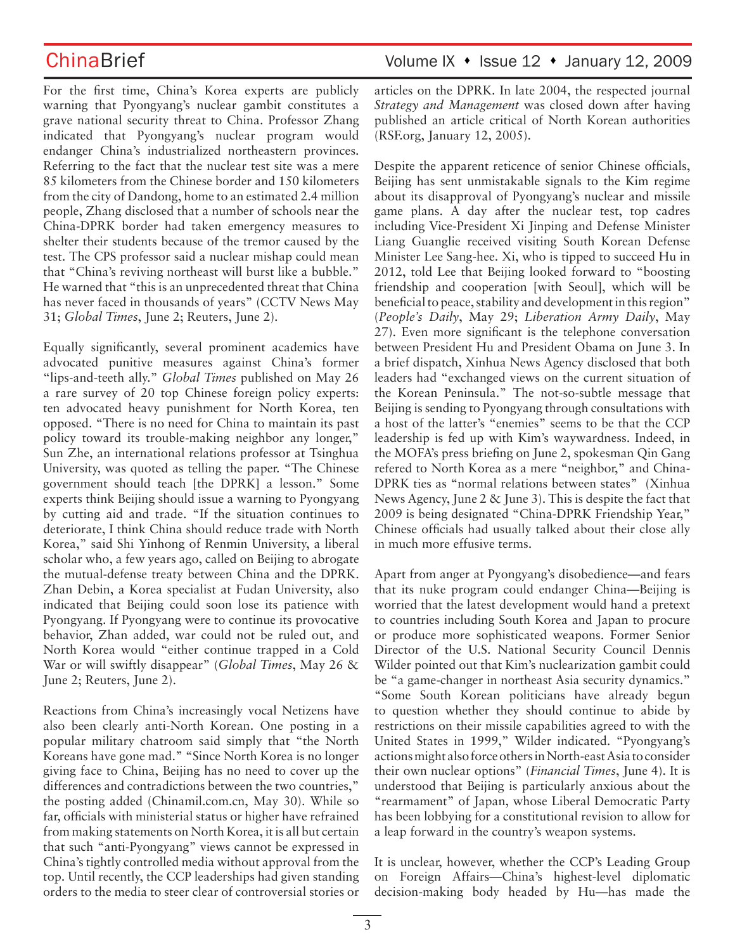For the first time, China's Korea experts are publicly warning that Pyongyang's nuclear gambit constitutes a grave national security threat to China. Professor Zhang indicated that Pyongyang's nuclear program would endanger China's industrialized northeastern provinces. Referring to the fact that the nuclear test site was a mere 85 kilometers from the Chinese border and 150 kilometers from the city of Dandong, home to an estimated 2.4 million people, Zhang disclosed that a number of schools near the China-DPRK border had taken emergency measures to shelter their students because of the tremor caused by the test. The CPS professor said a nuclear mishap could mean that "China's reviving northeast will burst like a bubble." He warned that "this is an unprecedented threat that China has never faced in thousands of years" (CCTV News May 31; *Global Times*, June 2; Reuters, June 2).

Equally significantly, several prominent academics have advocated punitive measures against China's former "lips-and-teeth ally." *Global Times* published on May 26 a rare survey of 20 top Chinese foreign policy experts: ten advocated heavy punishment for North Korea, ten opposed. "There is no need for China to maintain its past policy toward its trouble-making neighbor any longer," Sun Zhe, an international relations professor at Tsinghua University, was quoted as telling the paper. "The Chinese government should teach [the DPRK] a lesson." Some experts think Beijing should issue a warning to Pyongyang by cutting aid and trade. "If the situation continues to deteriorate, I think China should reduce trade with North Korea," said Shi Yinhong of Renmin University, a liberal scholar who, a few years ago, called on Beijing to abrogate the mutual-defense treaty between China and the DPRK. Zhan Debin, a Korea specialist at Fudan University, also indicated that Beijing could soon lose its patience with Pyongyang. If Pyongyang were to continue its provocative behavior, Zhan added, war could not be ruled out, and North Korea would "either continue trapped in a Cold War or will swiftly disappear" (*Global Times*, May 26 & June 2; Reuters, June 2).

Reactions from China's increasingly vocal Netizens have also been clearly anti-North Korean. One posting in a popular military chatroom said simply that "the North Koreans have gone mad." "Since North Korea is no longer giving face to China, Beijing has no need to cover up the differences and contradictions between the two countries," the posting added (Chinamil.com.cn, May 30). While so far, officials with ministerial status or higher have refrained from making statements on North Korea, it is all but certain that such "anti-Pyongyang" views cannot be expressed in China's tightly controlled media without approval from the top. Until recently, the CCP leaderships had given standing orders to the media to steer clear of controversial stories or articles on the DPRK. In late 2004, the respected journal *Strategy and Management* was closed down after having published an article critical of North Korean authorities (RSF.org, January 12, 2005).

Despite the apparent reticence of senior Chinese officials, Beijing has sent unmistakable signals to the Kim regime about its disapproval of Pyongyang's nuclear and missile game plans. A day after the nuclear test, top cadres including Vice-President Xi Jinping and Defense Minister Liang Guanglie received visiting South Korean Defense Minister Lee Sang-hee. Xi, who is tipped to succeed Hu in 2012, told Lee that Beijing looked forward to "boosting friendship and cooperation [with Seoul], which will be beneficial to peace, stability and development in this region" (*People's Daily*, May 29; *Liberation Army Daily*, May 27). Even more significant is the telephone conversation between President Hu and President Obama on June 3. In a brief dispatch, Xinhua News Agency disclosed that both leaders had "exchanged views on the current situation of the Korean Peninsula." The not-so-subtle message that Beijing is sending to Pyongyang through consultations with a host of the latter's "enemies" seems to be that the CCP leadership is fed up with Kim's waywardness. Indeed, in the MOFA's press briefing on June 2, spokesman Qin Gang refered to North Korea as a mere "neighbor," and China-DPRK ties as "normal relations between states" (Xinhua News Agency, June 2 & June 3). This is despite the fact that 2009 is being designated "China-DPRK Friendship Year," Chinese officials had usually talked about their close ally in much more effusive terms.

Apart from anger at Pyongyang's disobedience—and fears that its nuke program could endanger China—Beijing is worried that the latest development would hand a pretext to countries including South Korea and Japan to procure or produce more sophisticated weapons. Former Senior Director of the U.S. National Security Council Dennis Wilder pointed out that Kim's nuclearization gambit could be "a game-changer in northeast Asia security dynamics." "Some South Korean politicians have already begun to question whether they should continue to abide by restrictions on their missile capabilities agreed to with the United States in 1999," Wilder indicated. "Pyongyang's actions might also force others in North-east Asia to consider their own nuclear options" (*Financial Times*, June 4). It is understood that Beijing is particularly anxious about the "rearmament" of Japan, whose Liberal Democratic Party has been lobbying for a constitutional revision to allow for a leap forward in the country's weapon systems.

It is unclear, however, whether the CCP's Leading Group on Foreign Affairs—China's highest-level diplomatic decision-making body headed by Hu—has made the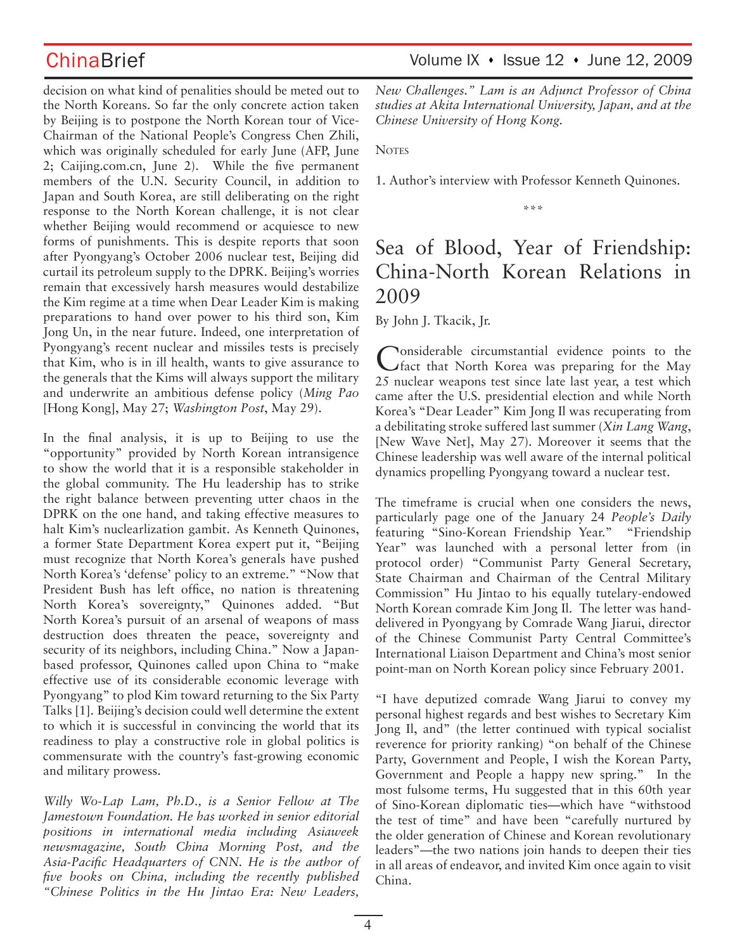decision on what kind of penalities should be meted out to the North Koreans. So far the only concrete action taken by Beijing is to postpone the North Korean tour of Vice-Chairman of the National People's Congress Chen Zhili, which was originally scheduled for early June (AFP, June 2; Caijing.com.cn, June 2). While the five permanent members of the U.N. Security Council, in addition to Japan and South Korea, are still deliberating on the right response to the North Korean challenge, it is not clear whether Beijing would recommend or acquiesce to new forms of punishments. This is despite reports that soon after Pyongyang's October 2006 nuclear test, Beijing did curtail its petroleum supply to the DPRK. Beijing's worries remain that excessively harsh measures would destabilize the Kim regime at a time when Dear Leader Kim is making preparations to hand over power to his third son, Kim Jong Un, in the near future. Indeed, one interpretation of Pyongyang's recent nuclear and missiles tests is precisely that Kim, who is in ill health, wants to give assurance to the generals that the Kims will always support the military and underwrite an ambitious defense policy (*Ming Pao* [Hong Kong], May 27; *Washington Post*, May 29).

In the final analysis, it is up to Beijing to use the "opportunity" provided by North Korean intransigence to show the world that it is a responsible stakeholder in the global community. The Hu leadership has to strike the right balance between preventing utter chaos in the DPRK on the one hand, and taking effective measures to halt Kim's nuclearlization gambit. As Kenneth Quinones, a former State Department Korea expert put it, "Beijing must recognize that North Korea's generals have pushed North Korea's 'defense' policy to an extreme." "Now that President Bush has left office, no nation is threatening North Korea's sovereignty," Quinones added. "But North Korea's pursuit of an arsenal of weapons of mass destruction does threaten the peace, sovereignty and security of its neighbors, including China." Now a Japanbased professor, Quinones called upon China to "make effective use of its considerable economic leverage with Pyongyang" to plod Kim toward returning to the Six Party Talks [1]. Beijing's decision could well determine the extent to which it is successful in convincing the world that its readiness to play a constructive role in global politics is commensurate with the country's fast-growing economic and military prowess.

*Willy Wo-Lap Lam, Ph.D., is a Senior Fellow at The Jamestown Foundation. He has worked in senior editorial positions in international media including Asiaweek newsmagazine, South China Morning Post, and the Asia-Pacific Headquarters of CNN. He is the author of five books on China, including the recently published "Chinese Politics in the Hu Jintao Era: New Leaders,* 

ChinaBrief Volume IX • Issue 12 • June 12, 2009

*New Challenges." Lam is an Adjunct Professor of China studies at Akita International University, Japan, and at the Chinese University of Hong Kong.* 

**NOTES** 

1. Author's interview with Professor Kenneth Quinones.

\*\*\*

# Sea of Blood, Year of Friendship: China-North Korean Relations in 2009

By John J. Tkacik, Jr.

Considerable circumstantial evidence points to the fact that North Korea was preparing for the May 25 nuclear weapons test since late last year, a test which came after the U.S. presidential election and while North Korea's "Dear Leader" Kim Jong Il was recuperating from a debilitating stroke suffered last summer (*Xin Lang Wang*, [New Wave Net], May 27). Moreover it seems that the Chinese leadership was well aware of the internal political dynamics propelling Pyongyang toward a nuclear test.

The timeframe is crucial when one considers the news, particularly page one of the January 24 *People's Daily* featuring "Sino-Korean Friendship Year." "Friendship Year" was launched with a personal letter from (in protocol order) "Communist Party General Secretary, State Chairman and Chairman of the Central Military Commission" Hu Jintao to his equally tutelary-endowed North Korean comrade Kim Jong Il. The letter was handdelivered in Pyongyang by Comrade Wang Jiarui, director of the Chinese Communist Party Central Committee's International Liaison Department and China's most senior point-man on North Korean policy since February 2001.

"I have deputized comrade Wang Jiarui to convey my personal highest regards and best wishes to Secretary Kim Jong Il, and" (the letter continued with typical socialist reverence for priority ranking) "on behalf of the Chinese Party, Government and People, I wish the Korean Party, Government and People a happy new spring." In the most fulsome terms, Hu suggested that in this 60th year of Sino-Korean diplomatic ties—which have "withstood the test of time" and have been "carefully nurtured by the older generation of Chinese and Korean revolutionary leaders"—the two nations join hands to deepen their ties in all areas of endeavor, and invited Kim once again to visit China.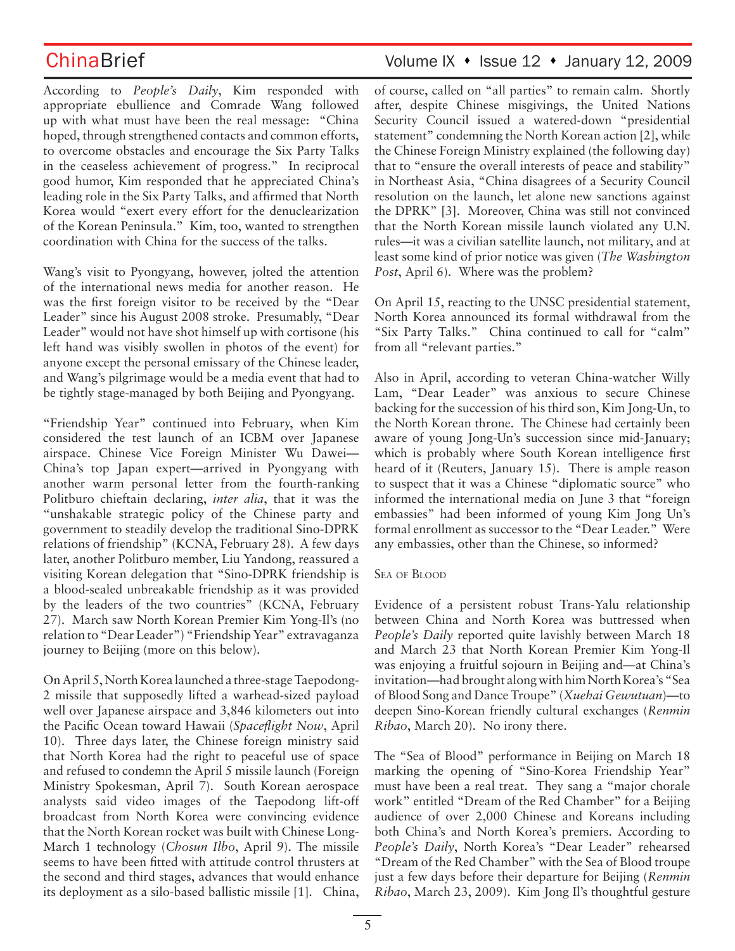According to *People's Daily*, Kim responded with appropriate ebullience and Comrade Wang followed up with what must have been the real message: "China hoped, through strengthened contacts and common efforts, to overcome obstacles and encourage the Six Party Talks in the ceaseless achievement of progress." In reciprocal good humor, Kim responded that he appreciated China's leading role in the Six Party Talks, and affirmed that North Korea would "exert every effort for the denuclearization of the Korean Peninsula." Kim, too, wanted to strengthen coordination with China for the success of the talks.

Wang's visit to Pyongyang, however, jolted the attention of the international news media for another reason. He was the first foreign visitor to be received by the "Dear Leader" since his August 2008 stroke. Presumably, "Dear Leader" would not have shot himself up with cortisone (his left hand was visibly swollen in photos of the event) for anyone except the personal emissary of the Chinese leader, and Wang's pilgrimage would be a media event that had to be tightly stage-managed by both Beijing and Pyongyang.

"Friendship Year" continued into February, when Kim considered the test launch of an ICBM over Japanese airspace. Chinese Vice Foreign Minister Wu Dawei— China's top Japan expert—arrived in Pyongyang with another warm personal letter from the fourth-ranking Politburo chieftain declaring, *inter alia*, that it was the "unshakable strategic policy of the Chinese party and government to steadily develop the traditional Sino-DPRK relations of friendship" (KCNA, February 28). A few days later, another Politburo member, Liu Yandong, reassured a visiting Korean delegation that "Sino-DPRK friendship is a blood-sealed unbreakable friendship as it was provided by the leaders of the two countries" (KCNA, February 27). March saw North Korean Premier Kim Yong-Il's (no relation to "Dear Leader") "Friendship Year" extravaganza journey to Beijing (more on this below).

On April 5, North Korea launched a three-stage Taepodong-2 missile that supposedly lifted a warhead-sized payload well over Japanese airspace and 3,846 kilometers out into the Pacific Ocean toward Hawaii (*Spaceflight Now*, April 10). Three days later, the Chinese foreign ministry said that North Korea had the right to peaceful use of space and refused to condemn the April 5 missile launch (Foreign Ministry Spokesman, April 7). South Korean aerospace analysts said video images of the Taepodong lift-off broadcast from North Korea were convincing evidence that the North Korean rocket was built with Chinese Long-March 1 technology (*Chosun Ilbo*, April 9). The missile seems to have been fitted with attitude control thrusters at the second and third stages, advances that would enhance its deployment as a silo-based ballistic missile [1]. China,

# ChinaBrief Volume IX • Issue 12 • January 12, 2009

of course, called on "all parties" to remain calm. Shortly after, despite Chinese misgivings, the United Nations Security Council issued a watered-down "presidential statement" condemning the North Korean action [2], while the Chinese Foreign Ministry explained (the following day) that to "ensure the overall interests of peace and stability" in Northeast Asia, "China disagrees of a Security Council resolution on the launch, let alone new sanctions against the DPRK" [3]. Moreover, China was still not convinced that the North Korean missile launch violated any U.N. rules—it was a civilian satellite launch, not military, and at least some kind of prior notice was given (*The Washington Post*, April 6). Where was the problem?

On April 15, reacting to the UNSC presidential statement, North Korea announced its formal withdrawal from the "Six Party Talks." China continued to call for "calm" from all "relevant parties."

Also in April, according to veteran China-watcher Willy Lam, "Dear Leader" was anxious to secure Chinese backing for the succession of his third son, Kim Jong-Un, to the North Korean throne. The Chinese had certainly been aware of young Jong-Un's succession since mid-January; which is probably where South Korean intelligence first heard of it (Reuters, January 15). There is ample reason to suspect that it was a Chinese "diplomatic source" who informed the international media on June 3 that "foreign embassies" had been informed of young Kim Jong Un's formal enrollment as successor to the "Dear Leader." Were any embassies, other than the Chinese, so informed?

## SEA OF BLOOD

Evidence of a persistent robust Trans-Yalu relationship between China and North Korea was buttressed when *People's Daily* reported quite lavishly between March 18 and March 23 that North Korean Premier Kim Yong-Il was enjoying a fruitful sojourn in Beijing and—at China's invitation—had brought along with him North Korea's "Sea of Blood Song and Dance Troupe" (*Xuehai Gewutuan*)—to deepen Sino-Korean friendly cultural exchanges (*Renmin Ribao*, March 20). No irony there.

The "Sea of Blood" performance in Beijing on March 18 marking the opening of "Sino-Korea Friendship Year" must have been a real treat. They sang a "major chorale work" entitled "Dream of the Red Chamber" for a Beijing audience of over 2,000 Chinese and Koreans including both China's and North Korea's premiers. According to *People's Daily*, North Korea's "Dear Leader" rehearsed "Dream of the Red Chamber" with the Sea of Blood troupe just a few days before their departure for Beijing (*Renmin Ribao*, March 23, 2009). Kim Jong Il's thoughtful gesture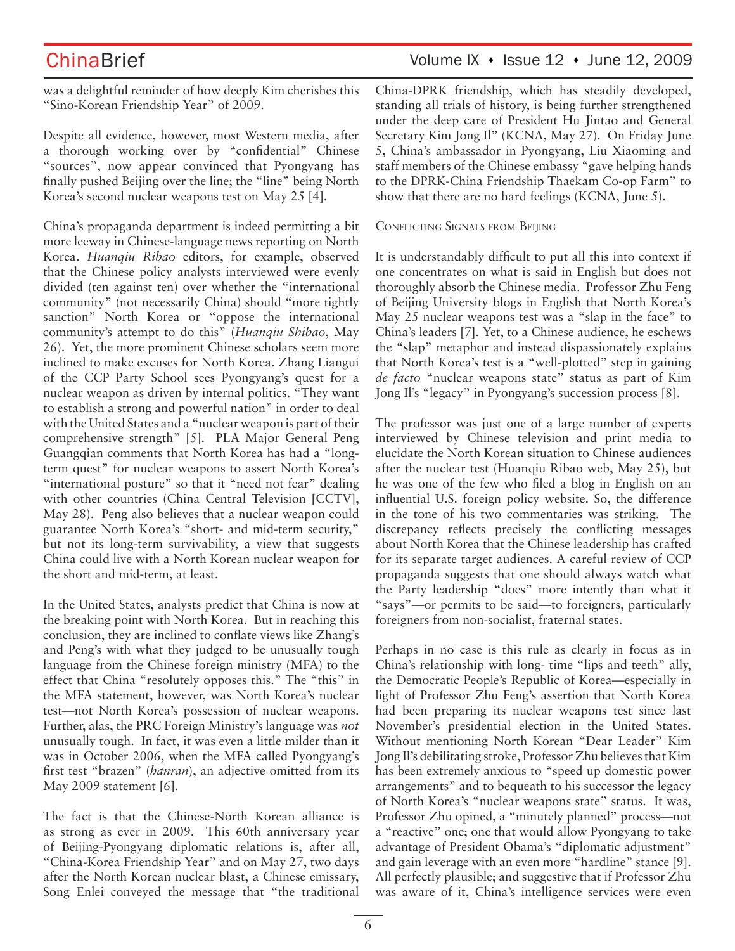was a delightful reminder of how deeply Kim cherishes this "Sino-Korean Friendship Year" of 2009.

Despite all evidence, however, most Western media, after a thorough working over by "confidential" Chinese "sources", now appear convinced that Pyongyang has finally pushed Beijing over the line; the "line" being North Korea's second nuclear weapons test on May 25 [4].

China's propaganda department is indeed permitting a bit more leeway in Chinese-language news reporting on North Korea. *Huanqiu Ribao* editors, for example, observed that the Chinese policy analysts interviewed were evenly divided (ten against ten) over whether the "international community" (not necessarily China) should "more tightly sanction" North Korea or "oppose the international community's attempt to do this" (*Huanqiu Shibao*, May 26). Yet, the more prominent Chinese scholars seem more inclined to make excuses for North Korea. Zhang Liangui of the CCP Party School sees Pyongyang's quest for a nuclear weapon as driven by internal politics. "They want to establish a strong and powerful nation" in order to deal with the United States and a "nuclear weapon is part of their comprehensive strength" [5]. PLA Major General Peng Guangqian comments that North Korea has had a "longterm quest" for nuclear weapons to assert North Korea's "international posture" so that it "need not fear" dealing with other countries (China Central Television [CCTV], May 28). Peng also believes that a nuclear weapon could guarantee North Korea's "short- and mid-term security," but not its long-term survivability, a view that suggests China could live with a North Korean nuclear weapon for the short and mid-term, at least.

In the United States, analysts predict that China is now at the breaking point with North Korea. But in reaching this conclusion, they are inclined to conflate views like Zhang's and Peng's with what they judged to be unusually tough language from the Chinese foreign ministry (MFA) to the effect that China "resolutely opposes this." The "this" in the MFA statement, however, was North Korea's nuclear test—not North Korea's possession of nuclear weapons. Further, alas, the PRC Foreign Ministry's language was *not* unusually tough. In fact, it was even a little milder than it was in October 2006, when the MFA called Pyongyang's first test "brazen" (*hanran*), an adjective omitted from its May 2009 statement [6].

The fact is that the Chinese-North Korean alliance is as strong as ever in 2009. This 60th anniversary year of Beijing-Pyongyang diplomatic relations is, after all, "China-Korea Friendship Year" and on May 27, two days after the North Korean nuclear blast, a Chinese emissary, Song Enlei conveyed the message that "the traditional China-DPRK friendship, which has steadily developed, standing all trials of history, is being further strengthened under the deep care of President Hu Jintao and General Secretary Kim Jong Il" (KCNA, May 27). On Friday June 5, China's ambassador in Pyongyang, Liu Xiaoming and staff members of the Chinese embassy "gave helping hands to the DPRK-China Friendship Thaekam Co-op Farm" to show that there are no hard feelings (KCNA, June 5).

CONFLICTING SIGNALS FROM BEIJING

It is understandably difficult to put all this into context if one concentrates on what is said in English but does not thoroughly absorb the Chinese media. Professor Zhu Feng of Beijing University blogs in English that North Korea's May 25 nuclear weapons test was a "slap in the face" to China's leaders [7]. Yet, to a Chinese audience, he eschews the "slap" metaphor and instead dispassionately explains that North Korea's test is a "well-plotted" step in gaining *de facto* "nuclear weapons state" status as part of Kim Jong Il's "legacy" in Pyongyang's succession process [8].

The professor was just one of a large number of experts interviewed by Chinese television and print media to elucidate the North Korean situation to Chinese audiences after the nuclear test (Huanqiu Ribao web, May 25), but he was one of the few who filed a blog in English on an influential U.S. foreign policy website. So, the difference in the tone of his two commentaries was striking. The discrepancy reflects precisely the conflicting messages about North Korea that the Chinese leadership has crafted for its separate target audiences. A careful review of CCP propaganda suggests that one should always watch what the Party leadership "does" more intently than what it "says"—or permits to be said—to foreigners, particularly foreigners from non-socialist, fraternal states.

Perhaps in no case is this rule as clearly in focus as in China's relationship with long- time "lips and teeth" ally, the Democratic People's Republic of Korea—especially in light of Professor Zhu Feng's assertion that North Korea had been preparing its nuclear weapons test since last November's presidential election in the United States. Without mentioning North Korean "Dear Leader" Kim Jong Il's debilitating stroke, Professor Zhu believes that Kim has been extremely anxious to "speed up domestic power arrangements" and to bequeath to his successor the legacy of North Korea's "nuclear weapons state" status. It was, Professor Zhu opined, a "minutely planned" process—not a "reactive" one; one that would allow Pyongyang to take advantage of President Obama's "diplomatic adjustment" and gain leverage with an even more "hardline" stance [9]. All perfectly plausible; and suggestive that if Professor Zhu was aware of it, China's intelligence services were even

## ChinaBrief Volume IX • Issue 12 • June 12, 2009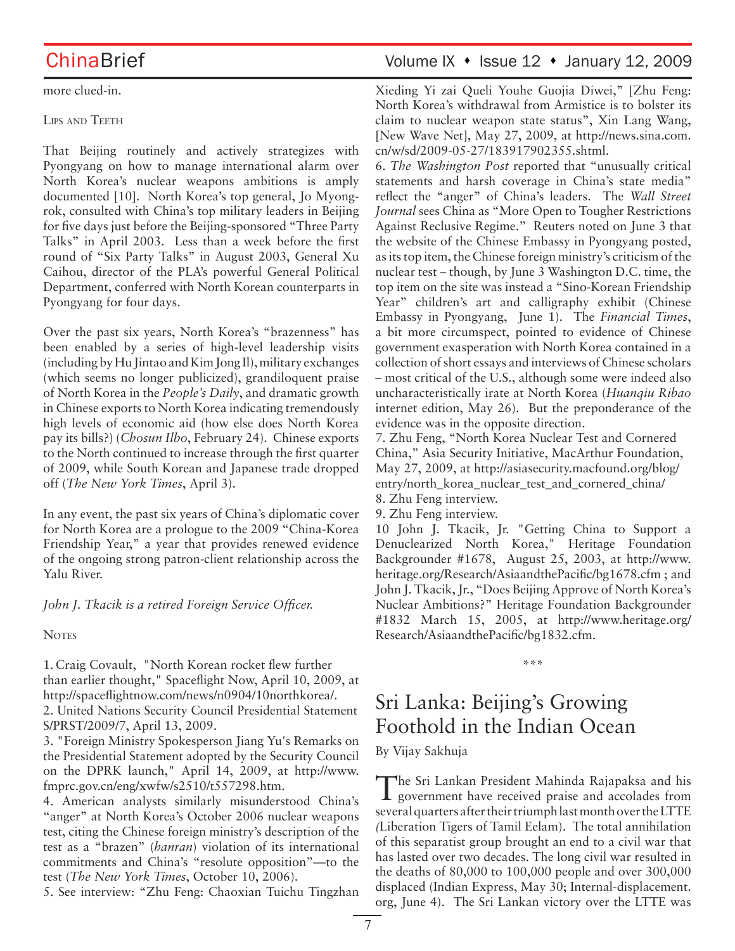more clued-in.

## LIPS AND TEETH

That Beijing routinely and actively strategizes with Pyongyang on how to manage international alarm over North Korea's nuclear weapons ambitions is amply documented [10]. North Korea's top general, Jo Myongrok, consulted with China's top military leaders in Beijing for five days just before the Beijing-sponsored "Three Party Talks" in April 2003. Less than a week before the first round of "Six Party Talks" in August 2003, General Xu Caihou, director of the PLA's powerful General Political Department, conferred with North Korean counterparts in Pyongyang for four days.

Over the past six years, North Korea's "brazenness" has been enabled by a series of high-level leadership visits (including by Hu Jintao and Kim Jong Il), military exchanges (which seems no longer publicized), grandiloquent praise of North Korea in the *People's Daily*, and dramatic growth in Chinese exports to North Korea indicating tremendously high levels of economic aid (how else does North Korea pay its bills?) (*Chosun Ilbo*, February 24). Chinese exports to the North continued to increase through the first quarter of 2009, while South Korean and Japanese trade dropped off (*The New York Times*, April 3).

In any event, the past six years of China's diplomatic cover for North Korea are a prologue to the 2009 "China-Korea Friendship Year," a year that provides renewed evidence of the ongoing strong patron-client relationship across the Yalu River.

*John J. Tkacik is a retired Foreign Service Officer.*

**NOTES** 

1. Craig Covault, "North Korean rocket flew further than earlier thought," Spaceflight Now, April 10, 2009, at http://spaceflightnow.com/news/n0904/10northkorea/. 2. United Nations Security Council Presidential Statement S/PRST/2009/7, April 13, 2009.

3. "Foreign Ministry Spokesperson Jiang Yu's Remarks on the Presidential Statement adopted by the Security Council on the DPRK launch," April 14, 2009, at http://www. fmprc.gov.cn/eng/xwfw/s2510/t557298.htm.

4. American analysts similarly misunderstood China's "anger" at North Korea's October 2006 nuclear weapons test, citing the Chinese foreign ministry's description of the test as a "brazen" (*hanran*) violation of its international commitments and China's "resolute opposition"—to the test (*The New York Times*, October 10, 2006).

5. See interview: "Zhu Feng: Chaoxian Tuichu Tingzhan

## ChinaBrief Volume IX • Issue 12 • January 12, 2009

Xieding Yi zai Queli Youhe Guojia Diwei," [Zhu Feng: North Korea's withdrawal from Armistice is to bolster its claim to nuclear weapon state status", Xin Lang Wang, [New Wave Net], May 27, 2009, at http://news.sina.com. cn/w/sd/2009-05-27/183917902355.shtml.

6. *The Washington Post* reported that "unusually critical statements and harsh coverage in China's state media" reflect the "anger" of China's leaders. The *Wall Street Journal* sees China as "More Open to Tougher Restrictions Against Reclusive Regime." Reuters noted on June 3 that the website of the Chinese Embassy in Pyongyang posted, as its top item, the Chinese foreign ministry's criticism of the nuclear test – though, by June 3 Washington D.C. time, the top item on the site was instead a "Sino-Korean Friendship Year" children's art and calligraphy exhibit (Chinese Embassy in Pyongyang, June 1). The *Financial Times*, a bit more circumspect, pointed to evidence of Chinese government exasperation with North Korea contained in a collection of short essays and interviews of Chinese scholars – most critical of the U.S., although some were indeed also uncharacteristically irate at North Korea (*Huanqiu Ribao* internet edition, May 26). But the preponderance of the evidence was in the opposite direction.

7. Zhu Feng, "North Korea Nuclear Test and Cornered China," Asia Security Initiative, MacArthur Foundation, May 27, 2009, at http://asiasecurity.macfound.org/blog/ entry/north\_korea\_nuclear\_test\_and\_cornered\_china/

8. Zhu Feng interview.

9. Zhu Feng interview.

10 John J. Tkacik, Jr. "Getting China to Support a Denuclearized North Korea," Heritage Foundation Backgrounder #1678, August 25, 2003, at http://www. heritage.org/Research/AsiaandthePacific/bg1678.cfm ; and John J. Tkacik, Jr., "Does Beijing Approve of North Korea's Nuclear Ambitions?" Heritage Foundation Backgrounder #1832 March 15, 2005, at http://www.heritage.org/ Research/AsiaandthePacific/bg1832.cfm.

**\*\*\***

# Sri Lanka: Beijing's Growing Foothold in the Indian Ocean

By Vijay Sakhuja

The Sri Lankan President Mahinda Rajapaksa and his subsequent payer received praise and accolades from several quarters after their triumph last month over the LTTE *(*Liberation Tigers of Tamil Eelam). The total annihilation of this separatist group brought an end to a civil war that has lasted over two decades. The long civil war resulted in the deaths of 80,000 to 100,000 people and over 300,000 displaced (Indian Express, May 30; Internal-displacement. org, June 4). The Sri Lankan victory over the LTTE was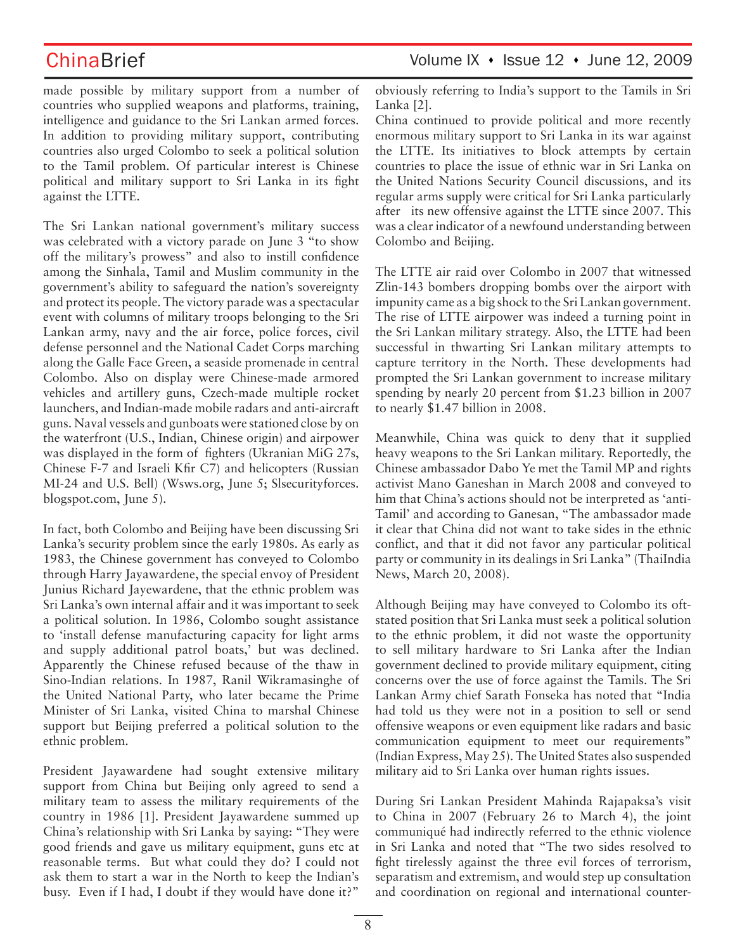made possible by military support from a number of countries who supplied weapons and platforms, training, intelligence and guidance to the Sri Lankan armed forces. In addition to providing military support, contributing countries also urged Colombo to seek a political solution to the Tamil problem. Of particular interest is Chinese political and military support to Sri Lanka in its fight against the LTTE.

The Sri Lankan national government's military success was celebrated with a victory parade on June 3 "to show off the military's prowess" and also to instill confidence among the Sinhala, Tamil and Muslim community in the government's ability to safeguard the nation's sovereignty and protect its people. The victory parade was a spectacular event with columns of military troops belonging to the Sri Lankan army, navy and the air force, police forces, civil defense personnel and the National Cadet Corps marching along the Galle Face Green, a seaside promenade in central Colombo. Also on display were Chinese-made armored vehicles and artillery guns, Czech-made multiple rocket launchers, and Indian-made mobile radars and anti-aircraft guns. Naval vessels and gunboats were stationed close by on the waterfront (U.S., Indian, Chinese origin) and airpower was displayed in the form of fighters (Ukranian MiG 27s, Chinese F-7 and Israeli Kfir C7) and helicopters (Russian MI-24 and U.S. Bell) (Wsws.org, June 5; Slsecurityforces. blogspot.com, June 5).

In fact, both Colombo and Beijing have been discussing Sri Lanka's security problem since the early 1980s. As early as 1983, the Chinese government has conveyed to Colombo through Harry Jayawardene, the special envoy of President Junius Richard Jayewardene, that the ethnic problem was Sri Lanka's own internal affair and it was important to seek a political solution. In 1986, Colombo sought assistance to 'install defense manufacturing capacity for light arms and supply additional patrol boats,' but was declined. Apparently the Chinese refused because of the thaw in Sino-Indian relations. In 1987, Ranil Wikramasinghe of the United National Party, who later became the Prime Minister of Sri Lanka, visited China to marshal Chinese support but Beijing preferred a political solution to the ethnic problem.

President Jayawardene had sought extensive military support from China but Beijing only agreed to send a military team to assess the military requirements of the country in 1986 [1]. President Jayawardene summed up China's relationship with Sri Lanka by saying: "They were good friends and gave us military equipment, guns etc at reasonable terms. But what could they do? I could not ask them to start a war in the North to keep the Indian's busy. Even if I had, I doubt if they would have done it?"

ChinaBrief Volume IX • Issue 12 • June 12, 2009

obviously referring to India's support to the Tamils in Sri Lanka [2].

China continued to provide political and more recently enormous military support to Sri Lanka in its war against the LTTE. Its initiatives to block attempts by certain countries to place the issue of ethnic war in Sri Lanka on the United Nations Security Council discussions, and its regular arms supply were critical for Sri Lanka particularly after its new offensive against the LTTE since 2007. This was a clear indicator of a newfound understanding between Colombo and Beijing.

The LTTE air raid over Colombo in 2007 that witnessed Zlin-143 bombers dropping bombs over the airport with impunity came as a big shock to the Sri Lankan government. The rise of LTTE airpower was indeed a turning point in the Sri Lankan military strategy. Also, the LTTE had been successful in thwarting Sri Lankan military attempts to capture territory in the North. These developments had prompted the Sri Lankan government to increase military spending by nearly 20 percent from \$1.23 billion in 2007 to nearly \$1.47 billion in 2008.

Meanwhile, China was quick to deny that it supplied heavy weapons to the Sri Lankan military. Reportedly, the Chinese ambassador Dabo Ye met the Tamil MP and rights activist Mano Ganeshan in March 2008 and conveyed to him that China's actions should not be interpreted as 'anti-Tamil' and according to Ganesan, "The ambassador made it clear that China did not want to take sides in the ethnic conflict, and that it did not favor any particular political party or community in its dealings in Sri Lanka" (ThaiIndia News, March 20, 2008).

Although Beijing may have conveyed to Colombo its oftstated position that Sri Lanka must seek a political solution to the ethnic problem, it did not waste the opportunity to sell military hardware to Sri Lanka after the Indian government declined to provide military equipment, citing concerns over the use of force against the Tamils. The Sri Lankan Army chief Sarath Fonseka has noted that "India had told us they were not in a position to sell or send offensive weapons or even equipment like radars and basic communication equipment to meet our requirements" (Indian Express, May 25). The United States also suspended military aid to Sri Lanka over human rights issues.

During Sri Lankan President Mahinda Rajapaksa's visit to China in 2007 (February 26 to March 4), the joint communiqué had indirectly referred to the ethnic violence in Sri Lanka and noted that "The two sides resolved to fight tirelessly against the three evil forces of terrorism, separatism and extremism, and would step up consultation and coordination on regional and international counter-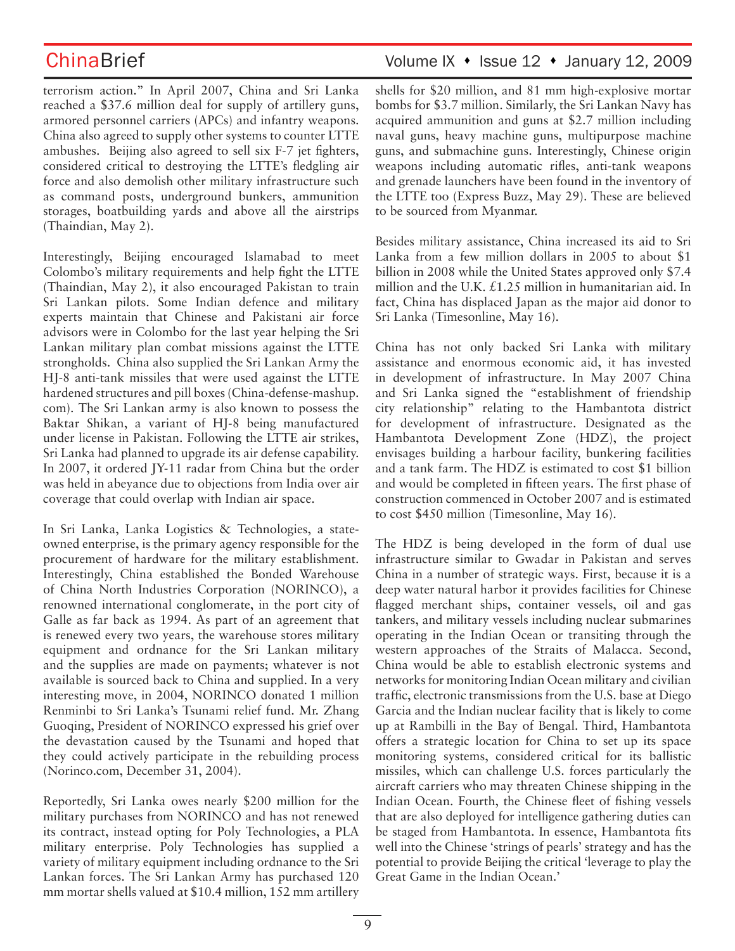terrorism action." In April 2007, China and Sri Lanka reached a \$37.6 million deal for supply of artillery guns, armored personnel carriers (APCs) and infantry weapons. China also agreed to supply other systems to counter LTTE ambushes. Beijing also agreed to sell six F-7 jet fighters, considered critical to destroying the LTTE's fledgling air force and also demolish other military infrastructure such as command posts, underground bunkers, ammunition storages, boatbuilding yards and above all the airstrips (Thaindian, May 2).

Interestingly, Beijing encouraged Islamabad to meet Colombo's military requirements and help fight the LTTE (Thaindian, May 2), it also encouraged Pakistan to train Sri Lankan pilots. Some Indian defence and military experts maintain that Chinese and Pakistani air force advisors were in Colombo for the last year helping the Sri Lankan military plan combat missions against the LTTE strongholds. China also supplied the Sri Lankan Army the HJ-8 anti-tank missiles that were used against the LTTE hardened structures and pill boxes (China-defense-mashup. com). The Sri Lankan army is also known to possess the Baktar Shikan, a variant of HJ-8 being manufactured under license in Pakistan. Following the LTTE air strikes, Sri Lanka had planned to upgrade its air defense capability. In 2007, it ordered JY-11 radar from China but the order was held in abeyance due to objections from India over air coverage that could overlap with Indian air space.

In Sri Lanka, Lanka Logistics & Technologies, a stateowned enterprise, is the primary agency responsible for the procurement of hardware for the military establishment. Interestingly, China established the Bonded Warehouse of China North Industries Corporation (NORINCO), a renowned international conglomerate, in the port city of Galle as far back as 1994. As part of an agreement that is renewed every two years, the warehouse stores military equipment and ordnance for the Sri Lankan military and the supplies are made on payments; whatever is not available is sourced back to China and supplied. In a very interesting move, in 2004, NORINCO donated 1 million Renminbi to Sri Lanka's Tsunami relief fund. Mr. Zhang Guoqing, President of NORINCO expressed his grief over the devastation caused by the Tsunami and hoped that they could actively participate in the rebuilding process (Norinco.com, December 31, 2004).

Reportedly, Sri Lanka owes nearly \$200 million for the military purchases from NORINCO and has not renewed its contract, instead opting for Poly Technologies, a PLA military enterprise. Poly Technologies has supplied a variety of military equipment including ordnance to the Sri Lankan forces. The Sri Lankan Army has purchased 120 mm mortar shells valued at \$10.4 million, 152 mm artillery

## ChinaBrief Volume IX • Issue 12 • January 12, 2009

shells for \$20 million, and 81 mm high-explosive mortar bombs for \$3.7 million. Similarly, the Sri Lankan Navy has acquired ammunition and guns at \$2.7 million including naval guns, heavy machine guns, multipurpose machine guns, and submachine guns. Interestingly, Chinese origin weapons including automatic rifles, anti-tank weapons and grenade launchers have been found in the inventory of the LTTE too (Express Buzz, May 29). These are believed to be sourced from Myanmar.

Besides military assistance, China increased its aid to Sri Lanka from a few million dollars in 2005 to about \$1 billion in 2008 while the United States approved only \$7.4 million and the U.K. £1.25 million in humanitarian aid. In fact, China has displaced Japan as the major aid donor to Sri Lanka (Timesonline, May 16).

China has not only backed Sri Lanka with military assistance and enormous economic aid, it has invested in development of infrastructure. In May 2007 China and Sri Lanka signed the "establishment of friendship city relationship" relating to the Hambantota district for development of infrastructure. Designated as the Hambantota Development Zone (HDZ), the project envisages building a harbour facility, bunkering facilities and a tank farm. The HDZ is estimated to cost \$1 billion and would be completed in fifteen years. The first phase of construction commenced in October 2007 and is estimated to cost \$450 million (Timesonline, May 16).

The HDZ is being developed in the form of dual use infrastructure similar to Gwadar in Pakistan and serves China in a number of strategic ways. First, because it is a deep water natural harbor it provides facilities for Chinese flagged merchant ships, container vessels, oil and gas tankers, and military vessels including nuclear submarines operating in the Indian Ocean or transiting through the western approaches of the Straits of Malacca. Second, China would be able to establish electronic systems and networks for monitoring Indian Ocean military and civilian traffic, electronic transmissions from the U.S. base at Diego Garcia and the Indian nuclear facility that is likely to come up at Rambilli in the Bay of Bengal. Third, Hambantota offers a strategic location for China to set up its space monitoring systems, considered critical for its ballistic missiles, which can challenge U.S. forces particularly the aircraft carriers who may threaten Chinese shipping in the Indian Ocean. Fourth, the Chinese fleet of fishing vessels that are also deployed for intelligence gathering duties can be staged from Hambantota. In essence, Hambantota fits well into the Chinese 'strings of pearls' strategy and has the potential to provide Beijing the critical 'leverage to play the Great Game in the Indian Ocean.'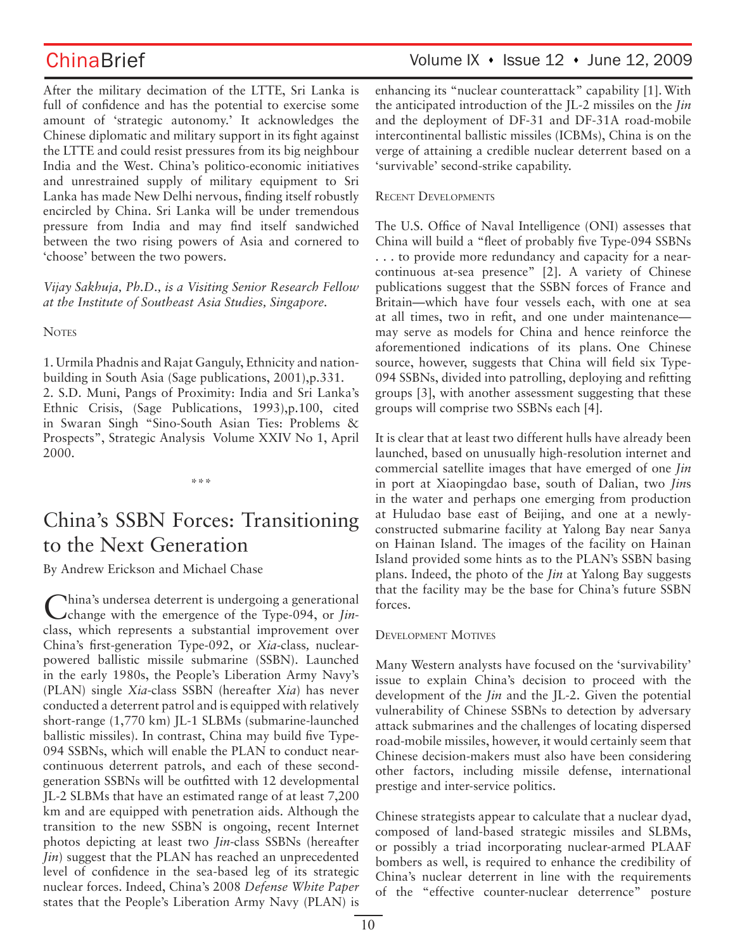After the military decimation of the LTTE, Sri Lanka is full of confidence and has the potential to exercise some amount of 'strategic autonomy.' It acknowledges the Chinese diplomatic and military support in its fight against the LTTE and could resist pressures from its big neighbour India and the West. China's politico-economic initiatives and unrestrained supply of military equipment to Sri Lanka has made New Delhi nervous, finding itself robustly encircled by China. Sri Lanka will be under tremendous pressure from India and may find itself sandwiched between the two rising powers of Asia and cornered to 'choose' between the two powers.

*Vijay Sakhuja, Ph.D., is a Visiting Senior Research Fellow at the Institute of Southeast Asia Studies, Singapore.*

## **NOTES**

1. Urmila Phadnis and Rajat Ganguly, Ethnicity and nationbuilding in South Asia (Sage publications, 2001),p.331. 2. S.D. Muni, Pangs of Proximity: India and Sri Lanka's Ethnic Crisis, (Sage Publications, 1993),p.100, cited in Swaran Singh "Sino-South Asian Ties: Problems & Prospects", Strategic Analysis Volume XXIV No 1, April 2000.

\*\*\*

# China's SSBN Forces: Transitioning to the Next Generation

By Andrew Erickson and Michael Chase

China's undersea deterrent is undergoing a generational change with the emergence of the Type-094, or *Jin*class, which represents a substantial improvement over China's first-generation Type-092, or *Xia-*class*,* nuclearpowered ballistic missile submarine (SSBN). Launched in the early 1980s, the People's Liberation Army Navy's (PLAN) single *Xia*-class SSBN (hereafter *Xia*) has never conducted a deterrent patrol and is equipped with relatively short-range (1,770 km) JL-1 SLBMs (submarine-launched ballistic missiles). In contrast, China may build five Type-094 SSBNs, which will enable the PLAN to conduct nearcontinuous deterrent patrols, and each of these secondgeneration SSBNs will be outfitted with 12 developmental JL-2 SLBMs that have an estimated range of at least 7,200 km and are equipped with penetration aids. Although the transition to the new SSBN is ongoing, recent Internet photos depicting at least two *Jin*-class SSBNs (hereafter *Jin*) suggest that the PLAN has reached an unprecedented level of confidence in the sea-based leg of its strategic nuclear forces. Indeed, China's 2008 *Defense White Paper* states that the People's Liberation Army Navy (PLAN) is

## ChinaBrief Volume IX • Issue 12 • June 12, 2009

enhancing its "nuclear counterattack" capability [1].With the anticipated introduction of the JL-2 missiles on the *Jin* and the deployment of DF-31 and DF-31A road-mobile intercontinental ballistic missiles (ICBMs), China is on the verge of attaining a credible nuclear deterrent based on a 'survivable' second-strike capability.

## RECENT DEVELOPMENTS

The U.S. Office of Naval Intelligence (ONI) assesses that China will build a "fleet of probably five Type-094 SSBNs . . . to provide more redundancy and capacity for a nearcontinuous at-sea presence" [2]. A variety of Chinese publications suggest that the SSBN forces of France and Britain—which have four vessels each, with one at sea at all times, two in refit, and one under maintenance may serve as models for China and hence reinforce the aforementioned indications of its plans. One Chinese source, however, suggests that China will field six Type-094 SSBNs, divided into patrolling, deploying and refitting groups [3], with another assessment suggesting that these groups will comprise two SSBNs each [4].

It is clear that at least two different hulls have already been launched, based on unusually high-resolution internet and commercial satellite images that have emerged of one *Jin* in port at Xiaopingdao base, south of Dalian, two *Jin*s in the water and perhaps one emerging from production at Huludao base east of Beijing, and one at a newlyconstructed submarine facility at Yalong Bay near Sanya on Hainan Island. The images of the facility on Hainan Island provided some hints as to the PLAN's SSBN basing plans. Indeed, the photo of the *Jin* at Yalong Bay suggests that the facility may be the base for China's future SSBN forces.

## DEVELOPMENT MOTIVES

Many Western analysts have focused on the 'survivability' issue to explain China's decision to proceed with the development of the *Jin* and the JL-2. Given the potential vulnerability of Chinese SSBNs to detection by adversary attack submarines and the challenges of locating dispersed road-mobile missiles, however, it would certainly seem that Chinese decision-makers must also have been considering other factors, including missile defense, international prestige and inter-service politics.

Chinese strategists appear to calculate that a nuclear dyad, composed of land-based strategic missiles and SLBMs, or possibly a triad incorporating nuclear-armed PLAAF bombers as well, is required to enhance the credibility of China's nuclear deterrent in line with the requirements of the "effective counter-nuclear deterrence" posture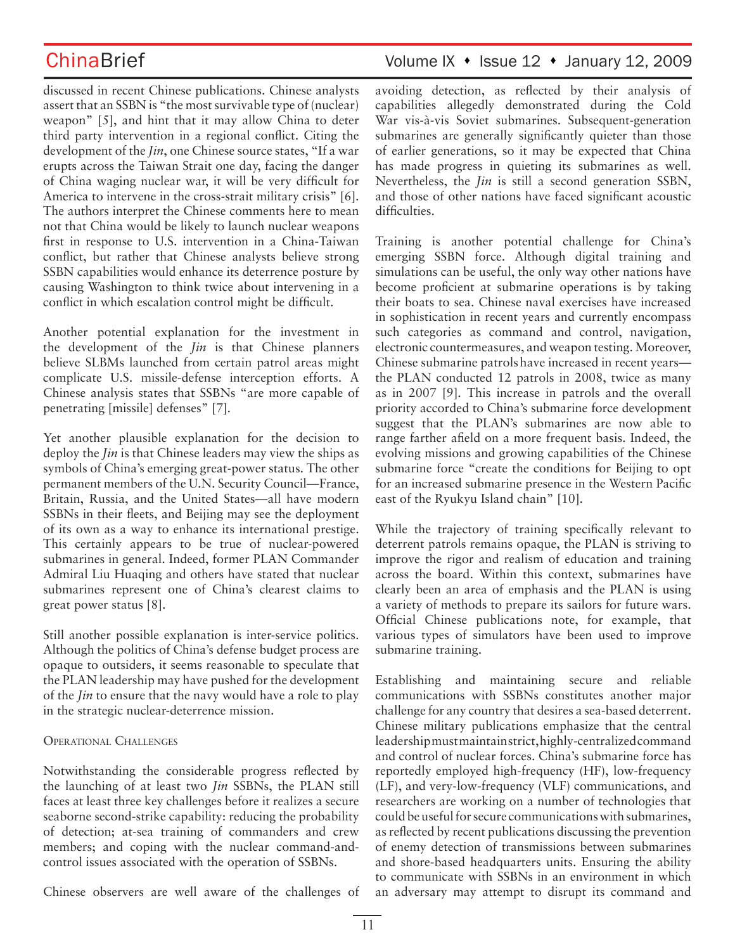discussed in recent Chinese publications. Chinese analysts assert that an SSBN is "the most survivable type of (nuclear) weapon" [5], and hint that it may allow China to deter third party intervention in a regional conflict. Citing the development of the *Jin*, one Chinese source states, "If a war erupts across the Taiwan Strait one day, facing the danger of China waging nuclear war, it will be very difficult for America to intervene in the cross-strait military crisis" [6]. The authors interpret the Chinese comments here to mean not that China would be likely to launch nuclear weapons first in response to U.S. intervention in a China-Taiwan conflict, but rather that Chinese analysts believe strong SSBN capabilities would enhance its deterrence posture by causing Washington to think twice about intervening in a conflict in which escalation control might be difficult.

Another potential explanation for the investment in the development of the *Jin* is that Chinese planners believe SLBMs launched from certain patrol areas might complicate U.S. missile-defense interception efforts. A Chinese analysis states that SSBNs "are more capable of penetrating [missile] defenses" [7].

Yet another plausible explanation for the decision to deploy the *Jin* is that Chinese leaders may view the ships as symbols of China's emerging great-power status. The other permanent members of the U.N. Security Council—France, Britain, Russia, and the United States—all have modern SSBNs in their fleets, and Beijing may see the deployment of its own as a way to enhance its international prestige. This certainly appears to be true of nuclear-powered submarines in general. Indeed, former PLAN Commander Admiral Liu Huaqing and others have stated that nuclear submarines represent one of China's clearest claims to great power status [8].

Still another possible explanation is inter-service politics. Although the politics of China's defense budget process are opaque to outsiders, it seems reasonable to speculate that the PLAN leadership may have pushed for the development of the *Jin* to ensure that the navy would have a role to play in the strategic nuclear-deterrence mission.

## OPERATIONAL CHALLENGES

Notwithstanding the considerable progress reflected by the launching of at least two *Jin* SSBNs, the PLAN still faces at least three key challenges before it realizes a secure seaborne second-strike capability: reducing the probability of detection; at-sea training of commanders and crew members; and coping with the nuclear command-andcontrol issues associated with the operation of SSBNs.

Chinese observers are well aware of the challenges of

# ChinaBrief Volume IX • Issue 12 • January 12, 2009

avoiding detection, as reflected by their analysis of capabilities allegedly demonstrated during the Cold War vis-à-vis Soviet submarines. Subsequent-generation submarines are generally significantly quieter than those of earlier generations, so it may be expected that China has made progress in quieting its submarines as well. Nevertheless, the *Jin* is still a second generation SSBN, and those of other nations have faced significant acoustic difficulties.

Training is another potential challenge for China's emerging SSBN force. Although digital training and simulations can be useful, the only way other nations have become proficient at submarine operations is by taking their boats to sea. Chinese naval exercises have increased in sophistication in recent years and currently encompass such categories as command and control, navigation, electronic countermeasures, and weapon testing. Moreover, Chinese submarine patrolshave increased in recent years the PLAN conducted 12 patrols in 2008, twice as many as in 2007 [9]. This increase in patrols and the overall priority accorded to China's submarine force development suggest that the PLAN's submarines are now able to range farther afield on a more frequent basis. Indeed, the evolving missions and growing capabilities of the Chinese submarine force "create the conditions for Beijing to opt for an increased submarine presence in the Western Pacific east of the Ryukyu Island chain" [10].

While the trajectory of training specifically relevant to deterrent patrols remains opaque, the PLAN is striving to improve the rigor and realism of education and training across the board. Within this context, submarines have clearly been an area of emphasis and the PLAN is using a variety of methods to prepare its sailors for future wars. Official Chinese publications note, for example, that various types of simulators have been used to improve submarine training.

Establishing and maintaining secure and reliable communications with SSBNs constitutes another major challenge for any country that desires a sea-based deterrent. Chinese military publications emphasize that the central leadership must maintain strict, highly-centralized command and control of nuclear forces. China's submarine force has reportedly employed high-frequency (HF), low-frequency (LF), and very-low-frequency (VLF) communications, and researchers are working on a number of technologies that could be useful for secure communications with submarines, as reflected by recent publications discussing the prevention of enemy detection of transmissions between submarines and shore-based headquarters units. Ensuring the ability to communicate with SSBNs in an environment in which an adversary may attempt to disrupt its command and